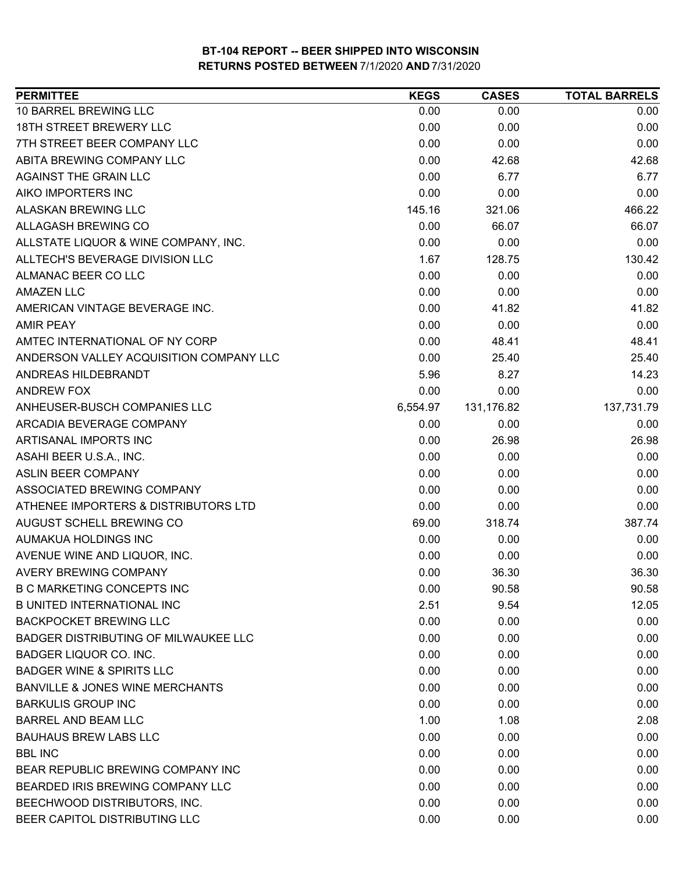| <b>PERMITTEE</b>                            | <b>KEGS</b> | <b>CASES</b> | <b>TOTAL BARRELS</b> |
|---------------------------------------------|-------------|--------------|----------------------|
| 10 BARREL BREWING LLC                       | 0.00        | 0.00         | 0.00                 |
| 18TH STREET BREWERY LLC                     | 0.00        | 0.00         | 0.00                 |
| 7TH STREET BEER COMPANY LLC                 | 0.00        | 0.00         | 0.00                 |
| ABITA BREWING COMPANY LLC                   | 0.00        | 42.68        | 42.68                |
| AGAINST THE GRAIN LLC                       | 0.00        | 6.77         | 6.77                 |
| AIKO IMPORTERS INC                          | 0.00        | 0.00         | 0.00                 |
| ALASKAN BREWING LLC                         | 145.16      | 321.06       | 466.22               |
| ALLAGASH BREWING CO                         | 0.00        | 66.07        | 66.07                |
| ALLSTATE LIQUOR & WINE COMPANY, INC.        | 0.00        | 0.00         | 0.00                 |
| ALLTECH'S BEVERAGE DIVISION LLC             | 1.67        | 128.75       | 130.42               |
| ALMANAC BEER CO LLC                         | 0.00        | 0.00         | 0.00                 |
| <b>AMAZEN LLC</b>                           | 0.00        | 0.00         | 0.00                 |
| AMERICAN VINTAGE BEVERAGE INC.              | 0.00        | 41.82        | 41.82                |
| <b>AMIR PEAY</b>                            | 0.00        | 0.00         | 0.00                 |
| AMTEC INTERNATIONAL OF NY CORP              | 0.00        | 48.41        | 48.41                |
| ANDERSON VALLEY ACQUISITION COMPANY LLC     | 0.00        | 25.40        | 25.40                |
| ANDREAS HILDEBRANDT                         | 5.96        | 8.27         | 14.23                |
| ANDREW FOX                                  | 0.00        | 0.00         | 0.00                 |
| ANHEUSER-BUSCH COMPANIES LLC                | 6,554.97    | 131,176.82   | 137,731.79           |
| ARCADIA BEVERAGE COMPANY                    | 0.00        | 0.00         | 0.00                 |
| ARTISANAL IMPORTS INC                       | 0.00        | 26.98        | 26.98                |
| ASAHI BEER U.S.A., INC.                     | 0.00        | 0.00         | 0.00                 |
| <b>ASLIN BEER COMPANY</b>                   | 0.00        | 0.00         | 0.00                 |
| ASSOCIATED BREWING COMPANY                  | 0.00        | 0.00         | 0.00                 |
| ATHENEE IMPORTERS & DISTRIBUTORS LTD        | 0.00        | 0.00         | 0.00                 |
| AUGUST SCHELL BREWING CO                    | 69.00       | 318.74       | 387.74               |
| AUMAKUA HOLDINGS INC                        | 0.00        | 0.00         | 0.00                 |
| AVENUE WINE AND LIQUOR, INC.                | 0.00        | 0.00         | 0.00                 |
| AVERY BREWING COMPANY                       | 0.00        | 36.30        | 36.30                |
| <b>B C MARKETING CONCEPTS INC</b>           | 0.00        | 90.58        | 90.58                |
| <b>B UNITED INTERNATIONAL INC</b>           | 2.51        | 9.54         | 12.05                |
| <b>BACKPOCKET BREWING LLC</b>               | 0.00        | 0.00         | 0.00                 |
| <b>BADGER DISTRIBUTING OF MILWAUKEE LLC</b> | 0.00        | 0.00         | 0.00                 |
| BADGER LIQUOR CO. INC.                      | 0.00        | 0.00         | 0.00                 |
| <b>BADGER WINE &amp; SPIRITS LLC</b>        | 0.00        | 0.00         | 0.00                 |
| <b>BANVILLE &amp; JONES WINE MERCHANTS</b>  | 0.00        | 0.00         | 0.00                 |
| <b>BARKULIS GROUP INC</b>                   | 0.00        | 0.00         | 0.00                 |
| <b>BARREL AND BEAM LLC</b>                  | 1.00        | 1.08         | 2.08                 |
| <b>BAUHAUS BREW LABS LLC</b>                | 0.00        | 0.00         | 0.00                 |
| <b>BBL INC</b>                              | 0.00        | 0.00         | 0.00                 |
| BEAR REPUBLIC BREWING COMPANY INC           | 0.00        | 0.00         | 0.00                 |
| BEARDED IRIS BREWING COMPANY LLC            | 0.00        | 0.00         | 0.00                 |
| BEECHWOOD DISTRIBUTORS, INC.                | 0.00        | 0.00         | 0.00                 |
| BEER CAPITOL DISTRIBUTING LLC               | 0.00        | 0.00         | 0.00                 |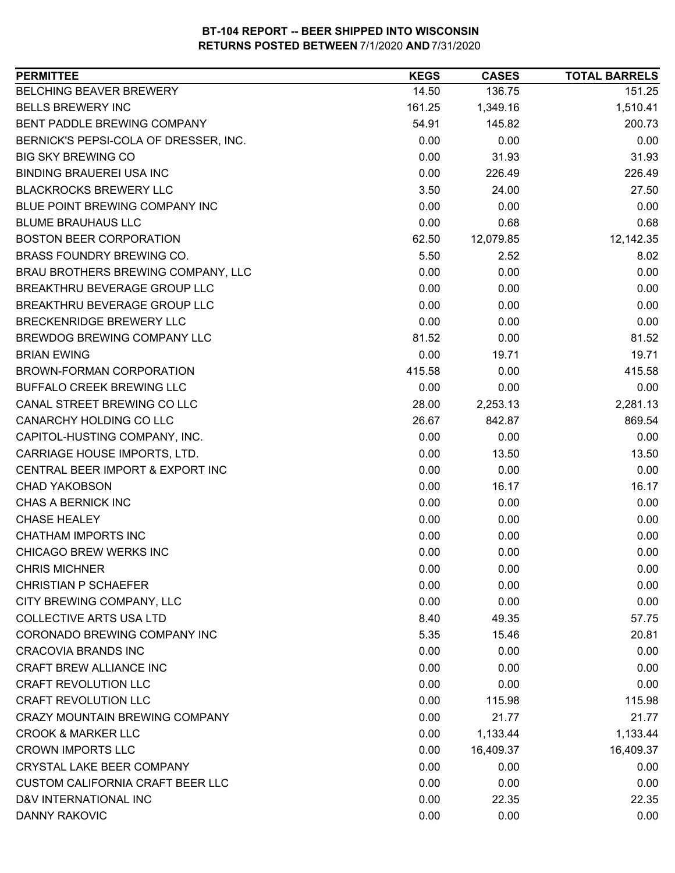| BELCHING BEAVER BREWERY<br>14.50<br>136.75<br>151.25<br><b>BELLS BREWERY INC</b><br>161.25<br>1,349.16<br>1,510.41<br>54.91<br>145.82<br>200.73<br>BENT PADDLE BREWING COMPANY<br>0.00<br>0.00<br>0.00<br>BERNICK'S PEPSI-COLA OF DRESSER, INC.<br>0.00<br>31.93<br><b>BIG SKY BREWING CO</b><br>31.93<br><b>BINDING BRAUEREI USA INC</b><br>0.00<br>226.49<br>226.49<br><b>BLACKROCKS BREWERY LLC</b><br>3.50<br>24.00<br>27.50<br>0.00<br>BLUE POINT BREWING COMPANY INC<br>0.00<br>0.00<br><b>BLUME BRAUHAUS LLC</b><br>0.00<br>0.68<br>0.68<br><b>BOSTON BEER CORPORATION</b><br>12,142.35<br>62.50<br>12,079.85<br>BRASS FOUNDRY BREWING CO.<br>5.50<br>2.52<br>8.02<br>BRAU BROTHERS BREWING COMPANY, LLC<br>0.00<br>0.00<br>0.00<br>BREAKTHRU BEVERAGE GROUP LLC<br>0.00<br>0.00<br>0.00<br>BREAKTHRU BEVERAGE GROUP LLC<br>0.00<br>0.00<br>0.00<br>BRECKENRIDGE BREWERY LLC<br>0.00<br>0.00<br>0.00<br>BREWDOG BREWING COMPANY LLC<br>81.52<br>0.00<br>81.52<br>0.00<br>19.71<br><b>BRIAN EWING</b><br>19.71<br>415.58<br>BROWN-FORMAN CORPORATION<br>415.58<br>0.00<br><b>BUFFALO CREEK BREWING LLC</b><br>0.00<br>0.00<br>0.00<br>CANAL STREET BREWING CO LLC<br>2,281.13<br>28.00<br>2,253.13<br>CANARCHY HOLDING CO LLC<br>26.67<br>842.87<br>869.54<br>CAPITOL-HUSTING COMPANY, INC.<br>0.00<br>0.00<br>0.00<br>CARRIAGE HOUSE IMPORTS, LTD.<br>0.00<br>13.50<br>13.50<br>CENTRAL BEER IMPORT & EXPORT INC<br>0.00<br>0.00<br>0.00<br>0.00<br>16.17<br><b>CHAD YAKOBSON</b><br>16.17<br>CHAS A BERNICK INC<br>0.00<br>0.00<br>0.00<br><b>CHASE HEALEY</b><br>0.00<br>0.00<br>0.00<br><b>CHATHAM IMPORTS INC</b><br>0.00<br>0.00<br>0.00<br>0.00<br><b>CHICAGO BREW WERKS INC</b><br>0.00<br>0.00<br><b>CHRIS MICHNER</b><br>0.00<br>0.00<br>0.00 |
|---------------------------------------------------------------------------------------------------------------------------------------------------------------------------------------------------------------------------------------------------------------------------------------------------------------------------------------------------------------------------------------------------------------------------------------------------------------------------------------------------------------------------------------------------------------------------------------------------------------------------------------------------------------------------------------------------------------------------------------------------------------------------------------------------------------------------------------------------------------------------------------------------------------------------------------------------------------------------------------------------------------------------------------------------------------------------------------------------------------------------------------------------------------------------------------------------------------------------------------------------------------------------------------------------------------------------------------------------------------------------------------------------------------------------------------------------------------------------------------------------------------------------------------------------------------------------------------------------------------------------------------------------------------------------------------------------------------------------------------------------------------|
|                                                                                                                                                                                                                                                                                                                                                                                                                                                                                                                                                                                                                                                                                                                                                                                                                                                                                                                                                                                                                                                                                                                                                                                                                                                                                                                                                                                                                                                                                                                                                                                                                                                                                                                                                               |
|                                                                                                                                                                                                                                                                                                                                                                                                                                                                                                                                                                                                                                                                                                                                                                                                                                                                                                                                                                                                                                                                                                                                                                                                                                                                                                                                                                                                                                                                                                                                                                                                                                                                                                                                                               |
|                                                                                                                                                                                                                                                                                                                                                                                                                                                                                                                                                                                                                                                                                                                                                                                                                                                                                                                                                                                                                                                                                                                                                                                                                                                                                                                                                                                                                                                                                                                                                                                                                                                                                                                                                               |
|                                                                                                                                                                                                                                                                                                                                                                                                                                                                                                                                                                                                                                                                                                                                                                                                                                                                                                                                                                                                                                                                                                                                                                                                                                                                                                                                                                                                                                                                                                                                                                                                                                                                                                                                                               |
|                                                                                                                                                                                                                                                                                                                                                                                                                                                                                                                                                                                                                                                                                                                                                                                                                                                                                                                                                                                                                                                                                                                                                                                                                                                                                                                                                                                                                                                                                                                                                                                                                                                                                                                                                               |
|                                                                                                                                                                                                                                                                                                                                                                                                                                                                                                                                                                                                                                                                                                                                                                                                                                                                                                                                                                                                                                                                                                                                                                                                                                                                                                                                                                                                                                                                                                                                                                                                                                                                                                                                                               |
|                                                                                                                                                                                                                                                                                                                                                                                                                                                                                                                                                                                                                                                                                                                                                                                                                                                                                                                                                                                                                                                                                                                                                                                                                                                                                                                                                                                                                                                                                                                                                                                                                                                                                                                                                               |
|                                                                                                                                                                                                                                                                                                                                                                                                                                                                                                                                                                                                                                                                                                                                                                                                                                                                                                                                                                                                                                                                                                                                                                                                                                                                                                                                                                                                                                                                                                                                                                                                                                                                                                                                                               |
|                                                                                                                                                                                                                                                                                                                                                                                                                                                                                                                                                                                                                                                                                                                                                                                                                                                                                                                                                                                                                                                                                                                                                                                                                                                                                                                                                                                                                                                                                                                                                                                                                                                                                                                                                               |
|                                                                                                                                                                                                                                                                                                                                                                                                                                                                                                                                                                                                                                                                                                                                                                                                                                                                                                                                                                                                                                                                                                                                                                                                                                                                                                                                                                                                                                                                                                                                                                                                                                                                                                                                                               |
|                                                                                                                                                                                                                                                                                                                                                                                                                                                                                                                                                                                                                                                                                                                                                                                                                                                                                                                                                                                                                                                                                                                                                                                                                                                                                                                                                                                                                                                                                                                                                                                                                                                                                                                                                               |
|                                                                                                                                                                                                                                                                                                                                                                                                                                                                                                                                                                                                                                                                                                                                                                                                                                                                                                                                                                                                                                                                                                                                                                                                                                                                                                                                                                                                                                                                                                                                                                                                                                                                                                                                                               |
|                                                                                                                                                                                                                                                                                                                                                                                                                                                                                                                                                                                                                                                                                                                                                                                                                                                                                                                                                                                                                                                                                                                                                                                                                                                                                                                                                                                                                                                                                                                                                                                                                                                                                                                                                               |
|                                                                                                                                                                                                                                                                                                                                                                                                                                                                                                                                                                                                                                                                                                                                                                                                                                                                                                                                                                                                                                                                                                                                                                                                                                                                                                                                                                                                                                                                                                                                                                                                                                                                                                                                                               |
|                                                                                                                                                                                                                                                                                                                                                                                                                                                                                                                                                                                                                                                                                                                                                                                                                                                                                                                                                                                                                                                                                                                                                                                                                                                                                                                                                                                                                                                                                                                                                                                                                                                                                                                                                               |
|                                                                                                                                                                                                                                                                                                                                                                                                                                                                                                                                                                                                                                                                                                                                                                                                                                                                                                                                                                                                                                                                                                                                                                                                                                                                                                                                                                                                                                                                                                                                                                                                                                                                                                                                                               |
|                                                                                                                                                                                                                                                                                                                                                                                                                                                                                                                                                                                                                                                                                                                                                                                                                                                                                                                                                                                                                                                                                                                                                                                                                                                                                                                                                                                                                                                                                                                                                                                                                                                                                                                                                               |
|                                                                                                                                                                                                                                                                                                                                                                                                                                                                                                                                                                                                                                                                                                                                                                                                                                                                                                                                                                                                                                                                                                                                                                                                                                                                                                                                                                                                                                                                                                                                                                                                                                                                                                                                                               |
|                                                                                                                                                                                                                                                                                                                                                                                                                                                                                                                                                                                                                                                                                                                                                                                                                                                                                                                                                                                                                                                                                                                                                                                                                                                                                                                                                                                                                                                                                                                                                                                                                                                                                                                                                               |
|                                                                                                                                                                                                                                                                                                                                                                                                                                                                                                                                                                                                                                                                                                                                                                                                                                                                                                                                                                                                                                                                                                                                                                                                                                                                                                                                                                                                                                                                                                                                                                                                                                                                                                                                                               |
|                                                                                                                                                                                                                                                                                                                                                                                                                                                                                                                                                                                                                                                                                                                                                                                                                                                                                                                                                                                                                                                                                                                                                                                                                                                                                                                                                                                                                                                                                                                                                                                                                                                                                                                                                               |
|                                                                                                                                                                                                                                                                                                                                                                                                                                                                                                                                                                                                                                                                                                                                                                                                                                                                                                                                                                                                                                                                                                                                                                                                                                                                                                                                                                                                                                                                                                                                                                                                                                                                                                                                                               |
|                                                                                                                                                                                                                                                                                                                                                                                                                                                                                                                                                                                                                                                                                                                                                                                                                                                                                                                                                                                                                                                                                                                                                                                                                                                                                                                                                                                                                                                                                                                                                                                                                                                                                                                                                               |
|                                                                                                                                                                                                                                                                                                                                                                                                                                                                                                                                                                                                                                                                                                                                                                                                                                                                                                                                                                                                                                                                                                                                                                                                                                                                                                                                                                                                                                                                                                                                                                                                                                                                                                                                                               |
|                                                                                                                                                                                                                                                                                                                                                                                                                                                                                                                                                                                                                                                                                                                                                                                                                                                                                                                                                                                                                                                                                                                                                                                                                                                                                                                                                                                                                                                                                                                                                                                                                                                                                                                                                               |
|                                                                                                                                                                                                                                                                                                                                                                                                                                                                                                                                                                                                                                                                                                                                                                                                                                                                                                                                                                                                                                                                                                                                                                                                                                                                                                                                                                                                                                                                                                                                                                                                                                                                                                                                                               |
|                                                                                                                                                                                                                                                                                                                                                                                                                                                                                                                                                                                                                                                                                                                                                                                                                                                                                                                                                                                                                                                                                                                                                                                                                                                                                                                                                                                                                                                                                                                                                                                                                                                                                                                                                               |
|                                                                                                                                                                                                                                                                                                                                                                                                                                                                                                                                                                                                                                                                                                                                                                                                                                                                                                                                                                                                                                                                                                                                                                                                                                                                                                                                                                                                                                                                                                                                                                                                                                                                                                                                                               |
|                                                                                                                                                                                                                                                                                                                                                                                                                                                                                                                                                                                                                                                                                                                                                                                                                                                                                                                                                                                                                                                                                                                                                                                                                                                                                                                                                                                                                                                                                                                                                                                                                                                                                                                                                               |
|                                                                                                                                                                                                                                                                                                                                                                                                                                                                                                                                                                                                                                                                                                                                                                                                                                                                                                                                                                                                                                                                                                                                                                                                                                                                                                                                                                                                                                                                                                                                                                                                                                                                                                                                                               |
| 0.00<br><b>CHRISTIAN P SCHAEFER</b><br>0.00<br>0.00                                                                                                                                                                                                                                                                                                                                                                                                                                                                                                                                                                                                                                                                                                                                                                                                                                                                                                                                                                                                                                                                                                                                                                                                                                                                                                                                                                                                                                                                                                                                                                                                                                                                                                           |
| CITY BREWING COMPANY, LLC<br>0.00<br>0.00<br>0.00                                                                                                                                                                                                                                                                                                                                                                                                                                                                                                                                                                                                                                                                                                                                                                                                                                                                                                                                                                                                                                                                                                                                                                                                                                                                                                                                                                                                                                                                                                                                                                                                                                                                                                             |
| <b>COLLECTIVE ARTS USA LTD</b><br>8.40<br>49.35<br>57.75                                                                                                                                                                                                                                                                                                                                                                                                                                                                                                                                                                                                                                                                                                                                                                                                                                                                                                                                                                                                                                                                                                                                                                                                                                                                                                                                                                                                                                                                                                                                                                                                                                                                                                      |
| CORONADO BREWING COMPANY INC<br>20.81<br>5.35<br>15.46                                                                                                                                                                                                                                                                                                                                                                                                                                                                                                                                                                                                                                                                                                                                                                                                                                                                                                                                                                                                                                                                                                                                                                                                                                                                                                                                                                                                                                                                                                                                                                                                                                                                                                        |
| <b>CRACOVIA BRANDS INC</b><br>0.00<br>0.00<br>0.00                                                                                                                                                                                                                                                                                                                                                                                                                                                                                                                                                                                                                                                                                                                                                                                                                                                                                                                                                                                                                                                                                                                                                                                                                                                                                                                                                                                                                                                                                                                                                                                                                                                                                                            |
| CRAFT BREW ALLIANCE INC<br>0.00<br>0.00<br>0.00                                                                                                                                                                                                                                                                                                                                                                                                                                                                                                                                                                                                                                                                                                                                                                                                                                                                                                                                                                                                                                                                                                                                                                                                                                                                                                                                                                                                                                                                                                                                                                                                                                                                                                               |
| <b>CRAFT REVOLUTION LLC</b><br>0.00<br>0.00<br>0.00                                                                                                                                                                                                                                                                                                                                                                                                                                                                                                                                                                                                                                                                                                                                                                                                                                                                                                                                                                                                                                                                                                                                                                                                                                                                                                                                                                                                                                                                                                                                                                                                                                                                                                           |
| <b>CRAFT REVOLUTION LLC</b><br>0.00<br>115.98<br>115.98                                                                                                                                                                                                                                                                                                                                                                                                                                                                                                                                                                                                                                                                                                                                                                                                                                                                                                                                                                                                                                                                                                                                                                                                                                                                                                                                                                                                                                                                                                                                                                                                                                                                                                       |
| <b>CRAZY MOUNTAIN BREWING COMPANY</b><br>0.00<br>21.77<br>21.77                                                                                                                                                                                                                                                                                                                                                                                                                                                                                                                                                                                                                                                                                                                                                                                                                                                                                                                                                                                                                                                                                                                                                                                                                                                                                                                                                                                                                                                                                                                                                                                                                                                                                               |
| 1,133.44<br><b>CROOK &amp; MARKER LLC</b><br>0.00<br>1,133.44                                                                                                                                                                                                                                                                                                                                                                                                                                                                                                                                                                                                                                                                                                                                                                                                                                                                                                                                                                                                                                                                                                                                                                                                                                                                                                                                                                                                                                                                                                                                                                                                                                                                                                 |
| <b>CROWN IMPORTS LLC</b><br>0.00<br>16,409.37<br>16,409.37                                                                                                                                                                                                                                                                                                                                                                                                                                                                                                                                                                                                                                                                                                                                                                                                                                                                                                                                                                                                                                                                                                                                                                                                                                                                                                                                                                                                                                                                                                                                                                                                                                                                                                    |
| CRYSTAL LAKE BEER COMPANY<br>0.00<br>0.00<br>0.00                                                                                                                                                                                                                                                                                                                                                                                                                                                                                                                                                                                                                                                                                                                                                                                                                                                                                                                                                                                                                                                                                                                                                                                                                                                                                                                                                                                                                                                                                                                                                                                                                                                                                                             |
| <b>CUSTOM CALIFORNIA CRAFT BEER LLC</b><br>0.00<br>0.00<br>0.00                                                                                                                                                                                                                                                                                                                                                                                                                                                                                                                                                                                                                                                                                                                                                                                                                                                                                                                                                                                                                                                                                                                                                                                                                                                                                                                                                                                                                                                                                                                                                                                                                                                                                               |
| D&V INTERNATIONAL INC<br>22.35<br>0.00<br>22.35                                                                                                                                                                                                                                                                                                                                                                                                                                                                                                                                                                                                                                                                                                                                                                                                                                                                                                                                                                                                                                                                                                                                                                                                                                                                                                                                                                                                                                                                                                                                                                                                                                                                                                               |
| <b>DANNY RAKOVIC</b><br>0.00<br>0.00<br>0.00                                                                                                                                                                                                                                                                                                                                                                                                                                                                                                                                                                                                                                                                                                                                                                                                                                                                                                                                                                                                                                                                                                                                                                                                                                                                                                                                                                                                                                                                                                                                                                                                                                                                                                                  |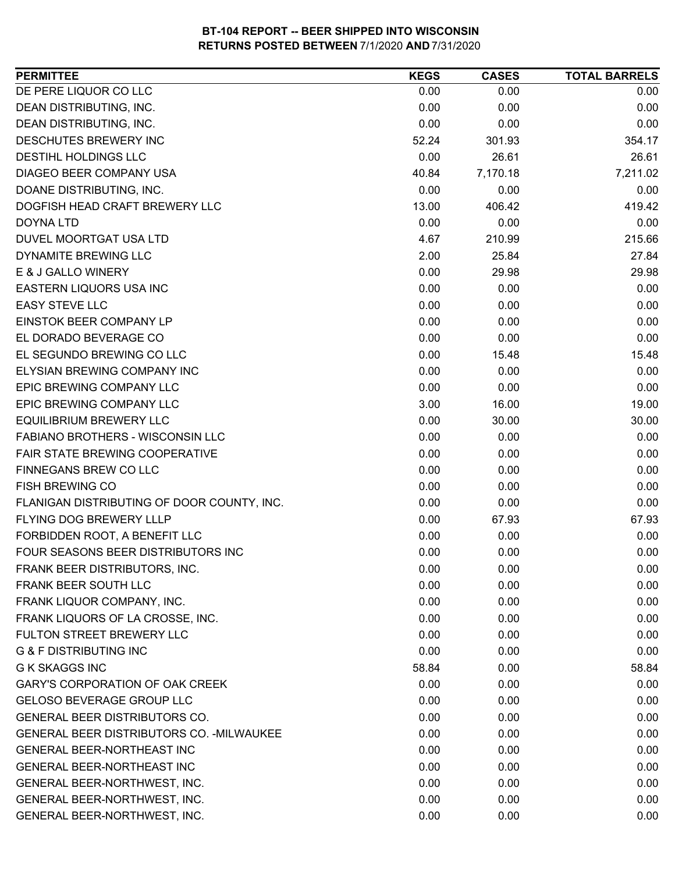| <b>PERMITTEE</b>                           | <b>KEGS</b> | <b>CASES</b> | <b>TOTAL BARRELS</b> |
|--------------------------------------------|-------------|--------------|----------------------|
| DE PERE LIQUOR CO LLC                      | 0.00        | 0.00         | 0.00                 |
| DEAN DISTRIBUTING, INC.                    | 0.00        | 0.00         | 0.00                 |
| DEAN DISTRIBUTING, INC.                    | 0.00        | 0.00         | 0.00                 |
| <b>DESCHUTES BREWERY INC</b>               | 52.24       | 301.93       | 354.17               |
| <b>DESTIHL HOLDINGS LLC</b>                | 0.00        | 26.61        | 26.61                |
| DIAGEO BEER COMPANY USA                    | 40.84       | 7,170.18     | 7,211.02             |
| DOANE DISTRIBUTING, INC.                   | 0.00        | 0.00         | 0.00                 |
| DOGFISH HEAD CRAFT BREWERY LLC             | 13.00       | 406.42       | 419.42               |
| <b>DOYNA LTD</b>                           | 0.00        | 0.00         | 0.00                 |
| DUVEL MOORTGAT USA LTD                     | 4.67        | 210.99       | 215.66               |
| DYNAMITE BREWING LLC                       | 2.00        | 25.84        | 27.84                |
| E & J GALLO WINERY                         | 0.00        | 29.98        | 29.98                |
| EASTERN LIQUORS USA INC                    | 0.00        | 0.00         | 0.00                 |
| <b>EASY STEVE LLC</b>                      | 0.00        | 0.00         | 0.00                 |
| <b>EINSTOK BEER COMPANY LP</b>             | 0.00        | 0.00         | 0.00                 |
| EL DORADO BEVERAGE CO                      | 0.00        | 0.00         | 0.00                 |
| EL SEGUNDO BREWING CO LLC                  | 0.00        | 15.48        | 15.48                |
| ELYSIAN BREWING COMPANY INC                | 0.00        | 0.00         | 0.00                 |
| EPIC BREWING COMPANY LLC                   | 0.00        | 0.00         | 0.00                 |
| EPIC BREWING COMPANY LLC                   | 3.00        | 16.00        | 19.00                |
| <b>EQUILIBRIUM BREWERY LLC</b>             | 0.00        | 30.00        | 30.00                |
| <b>FABIANO BROTHERS - WISCONSIN LLC</b>    | 0.00        | 0.00         | 0.00                 |
| FAIR STATE BREWING COOPERATIVE             | 0.00        | 0.00         | 0.00                 |
| FINNEGANS BREW CO LLC                      | 0.00        | 0.00         | 0.00                 |
| <b>FISH BREWING CO</b>                     | 0.00        | 0.00         | 0.00                 |
| FLANIGAN DISTRIBUTING OF DOOR COUNTY, INC. | 0.00        | 0.00         | 0.00                 |
| FLYING DOG BREWERY LLLP                    | 0.00        | 67.93        | 67.93                |
| FORBIDDEN ROOT, A BENEFIT LLC              | 0.00        | 0.00         | 0.00                 |
| FOUR SEASONS BEER DISTRIBUTORS INC         | 0.00        | 0.00         | 0.00                 |
| FRANK BEER DISTRIBUTORS, INC.              | 0.00        | 0.00         | 0.00                 |
| FRANK BEER SOUTH LLC                       | 0.00        | 0.00         | 0.00                 |
| FRANK LIQUOR COMPANY, INC.                 | 0.00        | 0.00         | 0.00                 |
| FRANK LIQUORS OF LA CROSSE, INC.           | 0.00        | 0.00         | 0.00                 |
| FULTON STREET BREWERY LLC                  | 0.00        | 0.00         | 0.00                 |
| <b>G &amp; F DISTRIBUTING INC</b>          | 0.00        | 0.00         | 0.00                 |
| <b>G K SKAGGS INC</b>                      | 58.84       | 0.00         | 58.84                |
| <b>GARY'S CORPORATION OF OAK CREEK</b>     | 0.00        | 0.00         | 0.00                 |
| <b>GELOSO BEVERAGE GROUP LLC</b>           | 0.00        | 0.00         | 0.00                 |
| <b>GENERAL BEER DISTRIBUTORS CO.</b>       | 0.00        | 0.00         | 0.00                 |
| GENERAL BEER DISTRIBUTORS CO. - MILWAUKEE  | 0.00        | 0.00         | 0.00                 |
| <b>GENERAL BEER-NORTHEAST INC</b>          | 0.00        | 0.00         | 0.00                 |
| <b>GENERAL BEER-NORTHEAST INC</b>          | 0.00        | 0.00         | 0.00                 |
| GENERAL BEER-NORTHWEST, INC.               | 0.00        | 0.00         | 0.00                 |
| GENERAL BEER-NORTHWEST, INC.               | 0.00        | 0.00         | 0.00                 |
| GENERAL BEER-NORTHWEST, INC.               | 0.00        | 0.00         | 0.00                 |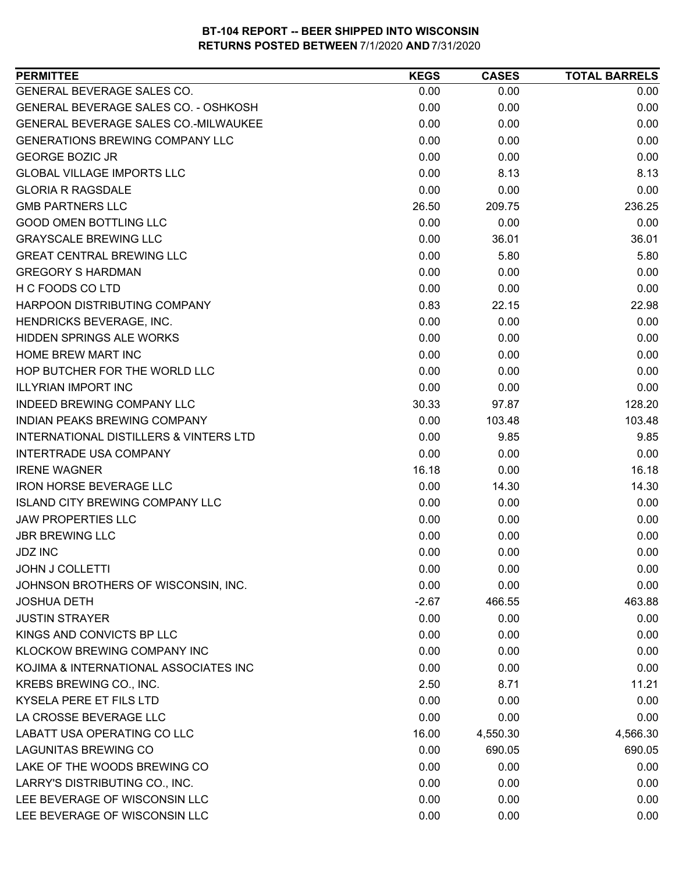| <b>PERMITTEE</b>                                  | <b>KEGS</b> | <b>CASES</b> | <b>TOTAL BARRELS</b> |
|---------------------------------------------------|-------------|--------------|----------------------|
| GENERAL BEVERAGE SALES CO.                        | 0.00        | 0.00         | 0.00                 |
| <b>GENERAL BEVERAGE SALES CO. - OSHKOSH</b>       | 0.00        | 0.00         | 0.00                 |
| <b>GENERAL BEVERAGE SALES CO.-MILWAUKEE</b>       | 0.00        | 0.00         | 0.00                 |
| <b>GENERATIONS BREWING COMPANY LLC</b>            | 0.00        | 0.00         | 0.00                 |
| <b>GEORGE BOZIC JR</b>                            | 0.00        | 0.00         | 0.00                 |
| <b>GLOBAL VILLAGE IMPORTS LLC</b>                 | 0.00        | 8.13         | 8.13                 |
| <b>GLORIA R RAGSDALE</b>                          | 0.00        | 0.00         | 0.00                 |
| <b>GMB PARTNERS LLC</b>                           | 26.50       | 209.75       | 236.25               |
| <b>GOOD OMEN BOTTLING LLC</b>                     | 0.00        | 0.00         | 0.00                 |
| <b>GRAYSCALE BREWING LLC</b>                      | 0.00        | 36.01        | 36.01                |
| <b>GREAT CENTRAL BREWING LLC</b>                  | 0.00        | 5.80         | 5.80                 |
| <b>GREGORY S HARDMAN</b>                          | 0.00        | 0.00         | 0.00                 |
| H C FOODS CO LTD                                  | 0.00        | 0.00         | 0.00                 |
| HARPOON DISTRIBUTING COMPANY                      | 0.83        | 22.15        | 22.98                |
| HENDRICKS BEVERAGE, INC.                          | 0.00        | 0.00         | 0.00                 |
| <b>HIDDEN SPRINGS ALE WORKS</b>                   | 0.00        | 0.00         | 0.00                 |
| <b>HOME BREW MART INC</b>                         | 0.00        | 0.00         | 0.00                 |
| HOP BUTCHER FOR THE WORLD LLC                     | 0.00        | 0.00         | 0.00                 |
| <b>ILLYRIAN IMPORT INC</b>                        | 0.00        | 0.00         | 0.00                 |
| <b>INDEED BREWING COMPANY LLC</b>                 | 30.33       | 97.87        | 128.20               |
| INDIAN PEAKS BREWING COMPANY                      | 0.00        | 103.48       | 103.48               |
| <b>INTERNATIONAL DISTILLERS &amp; VINTERS LTD</b> | 0.00        | 9.85         | 9.85                 |
| <b>INTERTRADE USA COMPANY</b>                     | 0.00        | 0.00         | 0.00                 |
| <b>IRENE WAGNER</b>                               | 16.18       | 0.00         | 16.18                |
| <b>IRON HORSE BEVERAGE LLC</b>                    | 0.00        | 14.30        | 14.30                |
| <b>ISLAND CITY BREWING COMPANY LLC</b>            | 0.00        | 0.00         | 0.00                 |
| <b>JAW PROPERTIES LLC</b>                         | 0.00        | 0.00         | 0.00                 |
| <b>JBR BREWING LLC</b>                            | 0.00        | 0.00         | 0.00                 |
| <b>JDZ INC</b>                                    | 0.00        | 0.00         | 0.00                 |
| <b>JOHN J COLLETTI</b>                            | 0.00        | 0.00         | 0.00                 |
| JOHNSON BROTHERS OF WISCONSIN, INC.               | 0.00        | 0.00         | 0.00                 |
| <b>JOSHUA DETH</b>                                | $-2.67$     | 466.55       | 463.88               |
| <b>JUSTIN STRAYER</b>                             | 0.00        | 0.00         | 0.00                 |
| KINGS AND CONVICTS BP LLC                         | 0.00        | 0.00         | 0.00                 |
| KLOCKOW BREWING COMPANY INC                       | 0.00        | 0.00         | 0.00                 |
| KOJIMA & INTERNATIONAL ASSOCIATES INC             | 0.00        | 0.00         | 0.00                 |
| KREBS BREWING CO., INC.                           | 2.50        | 8.71         | 11.21                |
| KYSELA PERE ET FILS LTD                           | 0.00        | 0.00         | 0.00                 |
| LA CROSSE BEVERAGE LLC                            | 0.00        | 0.00         | 0.00                 |
| LABATT USA OPERATING CO LLC                       | 16.00       | 4,550.30     | 4,566.30             |
| <b>LAGUNITAS BREWING CO</b>                       | 0.00        | 690.05       | 690.05               |
| LAKE OF THE WOODS BREWING CO                      | 0.00        | 0.00         | 0.00                 |
| LARRY'S DISTRIBUTING CO., INC.                    | 0.00        | 0.00         | 0.00                 |
| LEE BEVERAGE OF WISCONSIN LLC                     | 0.00        | 0.00         | 0.00                 |
| LEE BEVERAGE OF WISCONSIN LLC                     | 0.00        | 0.00         | 0.00                 |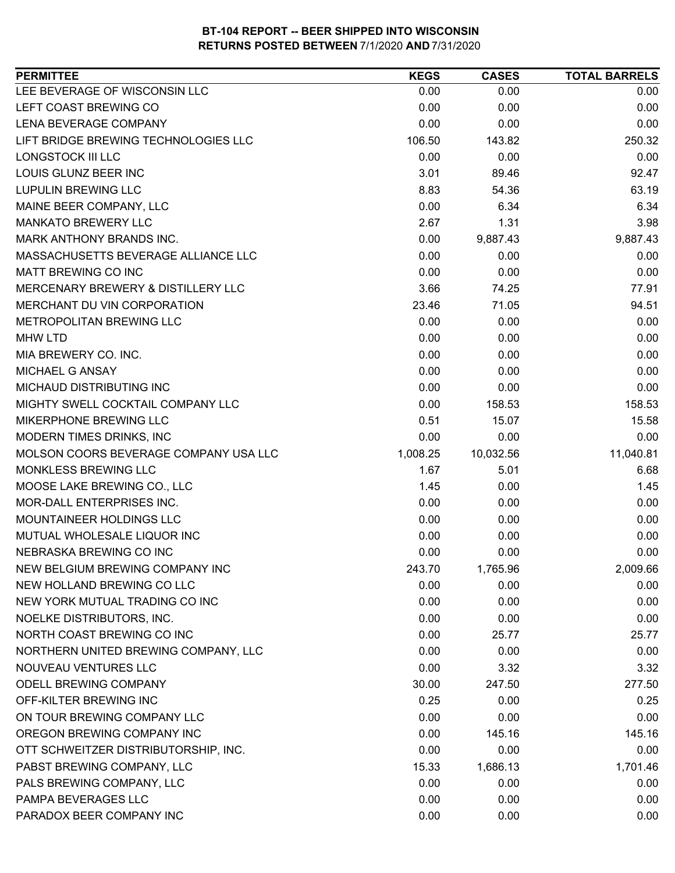| LEE BEVERAGE OF WISCONSIN LLC<br>0.00<br>0.00<br>0.00<br>LEFT COAST BREWING CO<br>0.00<br>0.00<br>0.00<br>LENA BEVERAGE COMPANY<br>0.00<br>0.00<br>0.00<br>LIFT BRIDGE BREWING TECHNOLOGIES LLC<br>106.50<br>143.82<br>250.32<br><b>LONGSTOCK III LLC</b><br>0.00<br>0.00<br>0.00<br>LOUIS GLUNZ BEER INC<br>3.01<br>89.46<br>92.47<br><b>LUPULIN BREWING LLC</b><br>8.83<br>54.36<br>63.19<br>0.00<br>MAINE BEER COMPANY, LLC<br>6.34<br>6.34<br><b>MANKATO BREWERY LLC</b><br>2.67<br>1.31<br>3.98<br>MARK ANTHONY BRANDS INC.<br>0.00<br>9,887.43<br>9,887.43<br>MASSACHUSETTS BEVERAGE ALLIANCE LLC<br>0.00<br>0.00<br>0.00<br>MATT BREWING CO INC<br>0.00<br>0.00<br>0.00<br>3.66<br>74.25<br>77.91<br>MERCENARY BREWERY & DISTILLERY LLC<br>MERCHANT DU VIN CORPORATION<br>23.46<br>94.51<br>71.05<br>METROPOLITAN BREWING LLC<br>0.00<br>0.00<br>0.00<br>0.00<br>0.00<br>0.00<br><b>MHW LTD</b><br>0.00<br>0.00<br>0.00<br>MIA BREWERY CO. INC.<br>MICHAEL G ANSAY<br>0.00<br>0.00<br>0.00<br>MICHAUD DISTRIBUTING INC<br>0.00<br>0.00<br>0.00<br>MIGHTY SWELL COCKTAIL COMPANY LLC<br>0.00<br>158.53<br>158.53<br>MIKERPHONE BREWING LLC<br>0.51<br>15.07<br>15.58<br>MODERN TIMES DRINKS, INC<br>0.00<br>0.00<br>0.00<br>11,040.81<br>MOLSON COORS BEVERAGE COMPANY USA LLC<br>10,032.56<br>1,008.25<br>MONKLESS BREWING LLC<br>1.67<br>6.68<br>5.01<br>1.45<br>MOOSE LAKE BREWING CO., LLC<br>0.00<br>1.45<br><b>MOR-DALL ENTERPRISES INC.</b><br>0.00<br>0.00<br>0.00<br>MOUNTAINEER HOLDINGS LLC<br>0.00<br>0.00<br>0.00<br>MUTUAL WHOLESALE LIQUOR INC<br>0.00<br>0.00<br>0.00<br>0.00<br>NEBRASKA BREWING CO INC<br>0.00<br>0.00<br>NEW BELGIUM BREWING COMPANY INC<br>243.70<br>1,765.96<br>2,009.66<br>NEW HOLLAND BREWING CO LLC<br>0.00<br>0.00<br>0.00<br>NEW YORK MUTUAL TRADING CO INC<br>0.00<br>0.00<br>0.00<br>NOELKE DISTRIBUTORS, INC.<br>0.00<br>0.00<br>0.00<br>NORTH COAST BREWING CO INC<br>0.00<br>25.77<br>25.77<br>0.00<br>0.00<br>NORTHERN UNITED BREWING COMPANY, LLC<br>0.00<br>NOUVEAU VENTURES LLC<br>0.00<br>3.32<br>3.32<br>ODELL BREWING COMPANY<br>277.50<br>30.00<br>247.50<br>OFF-KILTER BREWING INC<br>0.25<br>0.00<br>0.25<br>ON TOUR BREWING COMPANY LLC<br>0.00<br>0.00<br>0.00<br>OREGON BREWING COMPANY INC<br>0.00<br>145.16<br>145.16<br>0.00<br>OTT SCHWEITZER DISTRIBUTORSHIP, INC.<br>0.00<br>0.00<br>PABST BREWING COMPANY, LLC<br>15.33<br>1,686.13<br>1,701.46<br>0.00<br>PALS BREWING COMPANY, LLC<br>0.00<br>0.00<br>PAMPA BEVERAGES LLC<br>0.00<br>0.00<br>0.00<br>PARADOX BEER COMPANY INC<br>0.00<br>0.00<br>0.00 | <b>PERMITTEE</b> | <b>KEGS</b> | <b>CASES</b> | <b>TOTAL BARRELS</b> |
|----------------------------------------------------------------------------------------------------------------------------------------------------------------------------------------------------------------------------------------------------------------------------------------------------------------------------------------------------------------------------------------------------------------------------------------------------------------------------------------------------------------------------------------------------------------------------------------------------------------------------------------------------------------------------------------------------------------------------------------------------------------------------------------------------------------------------------------------------------------------------------------------------------------------------------------------------------------------------------------------------------------------------------------------------------------------------------------------------------------------------------------------------------------------------------------------------------------------------------------------------------------------------------------------------------------------------------------------------------------------------------------------------------------------------------------------------------------------------------------------------------------------------------------------------------------------------------------------------------------------------------------------------------------------------------------------------------------------------------------------------------------------------------------------------------------------------------------------------------------------------------------------------------------------------------------------------------------------------------------------------------------------------------------------------------------------------------------------------------------------------------------------------------------------------------------------------------------------------------------------------------------------------------------------------------------------------------------------------------------------------------------------------------------------------------------------------------------------------------------------------------------------------------------------------------------------------------|------------------|-------------|--------------|----------------------|
|                                                                                                                                                                                                                                                                                                                                                                                                                                                                                                                                                                                                                                                                                                                                                                                                                                                                                                                                                                                                                                                                                                                                                                                                                                                                                                                                                                                                                                                                                                                                                                                                                                                                                                                                                                                                                                                                                                                                                                                                                                                                                                                                                                                                                                                                                                                                                                                                                                                                                                                                                                                  |                  |             |              |                      |
|                                                                                                                                                                                                                                                                                                                                                                                                                                                                                                                                                                                                                                                                                                                                                                                                                                                                                                                                                                                                                                                                                                                                                                                                                                                                                                                                                                                                                                                                                                                                                                                                                                                                                                                                                                                                                                                                                                                                                                                                                                                                                                                                                                                                                                                                                                                                                                                                                                                                                                                                                                                  |                  |             |              |                      |
|                                                                                                                                                                                                                                                                                                                                                                                                                                                                                                                                                                                                                                                                                                                                                                                                                                                                                                                                                                                                                                                                                                                                                                                                                                                                                                                                                                                                                                                                                                                                                                                                                                                                                                                                                                                                                                                                                                                                                                                                                                                                                                                                                                                                                                                                                                                                                                                                                                                                                                                                                                                  |                  |             |              |                      |
|                                                                                                                                                                                                                                                                                                                                                                                                                                                                                                                                                                                                                                                                                                                                                                                                                                                                                                                                                                                                                                                                                                                                                                                                                                                                                                                                                                                                                                                                                                                                                                                                                                                                                                                                                                                                                                                                                                                                                                                                                                                                                                                                                                                                                                                                                                                                                                                                                                                                                                                                                                                  |                  |             |              |                      |
|                                                                                                                                                                                                                                                                                                                                                                                                                                                                                                                                                                                                                                                                                                                                                                                                                                                                                                                                                                                                                                                                                                                                                                                                                                                                                                                                                                                                                                                                                                                                                                                                                                                                                                                                                                                                                                                                                                                                                                                                                                                                                                                                                                                                                                                                                                                                                                                                                                                                                                                                                                                  |                  |             |              |                      |
|                                                                                                                                                                                                                                                                                                                                                                                                                                                                                                                                                                                                                                                                                                                                                                                                                                                                                                                                                                                                                                                                                                                                                                                                                                                                                                                                                                                                                                                                                                                                                                                                                                                                                                                                                                                                                                                                                                                                                                                                                                                                                                                                                                                                                                                                                                                                                                                                                                                                                                                                                                                  |                  |             |              |                      |
|                                                                                                                                                                                                                                                                                                                                                                                                                                                                                                                                                                                                                                                                                                                                                                                                                                                                                                                                                                                                                                                                                                                                                                                                                                                                                                                                                                                                                                                                                                                                                                                                                                                                                                                                                                                                                                                                                                                                                                                                                                                                                                                                                                                                                                                                                                                                                                                                                                                                                                                                                                                  |                  |             |              |                      |
|                                                                                                                                                                                                                                                                                                                                                                                                                                                                                                                                                                                                                                                                                                                                                                                                                                                                                                                                                                                                                                                                                                                                                                                                                                                                                                                                                                                                                                                                                                                                                                                                                                                                                                                                                                                                                                                                                                                                                                                                                                                                                                                                                                                                                                                                                                                                                                                                                                                                                                                                                                                  |                  |             |              |                      |
|                                                                                                                                                                                                                                                                                                                                                                                                                                                                                                                                                                                                                                                                                                                                                                                                                                                                                                                                                                                                                                                                                                                                                                                                                                                                                                                                                                                                                                                                                                                                                                                                                                                                                                                                                                                                                                                                                                                                                                                                                                                                                                                                                                                                                                                                                                                                                                                                                                                                                                                                                                                  |                  |             |              |                      |
|                                                                                                                                                                                                                                                                                                                                                                                                                                                                                                                                                                                                                                                                                                                                                                                                                                                                                                                                                                                                                                                                                                                                                                                                                                                                                                                                                                                                                                                                                                                                                                                                                                                                                                                                                                                                                                                                                                                                                                                                                                                                                                                                                                                                                                                                                                                                                                                                                                                                                                                                                                                  |                  |             |              |                      |
|                                                                                                                                                                                                                                                                                                                                                                                                                                                                                                                                                                                                                                                                                                                                                                                                                                                                                                                                                                                                                                                                                                                                                                                                                                                                                                                                                                                                                                                                                                                                                                                                                                                                                                                                                                                                                                                                                                                                                                                                                                                                                                                                                                                                                                                                                                                                                                                                                                                                                                                                                                                  |                  |             |              |                      |
|                                                                                                                                                                                                                                                                                                                                                                                                                                                                                                                                                                                                                                                                                                                                                                                                                                                                                                                                                                                                                                                                                                                                                                                                                                                                                                                                                                                                                                                                                                                                                                                                                                                                                                                                                                                                                                                                                                                                                                                                                                                                                                                                                                                                                                                                                                                                                                                                                                                                                                                                                                                  |                  |             |              |                      |
|                                                                                                                                                                                                                                                                                                                                                                                                                                                                                                                                                                                                                                                                                                                                                                                                                                                                                                                                                                                                                                                                                                                                                                                                                                                                                                                                                                                                                                                                                                                                                                                                                                                                                                                                                                                                                                                                                                                                                                                                                                                                                                                                                                                                                                                                                                                                                                                                                                                                                                                                                                                  |                  |             |              |                      |
|                                                                                                                                                                                                                                                                                                                                                                                                                                                                                                                                                                                                                                                                                                                                                                                                                                                                                                                                                                                                                                                                                                                                                                                                                                                                                                                                                                                                                                                                                                                                                                                                                                                                                                                                                                                                                                                                                                                                                                                                                                                                                                                                                                                                                                                                                                                                                                                                                                                                                                                                                                                  |                  |             |              |                      |
|                                                                                                                                                                                                                                                                                                                                                                                                                                                                                                                                                                                                                                                                                                                                                                                                                                                                                                                                                                                                                                                                                                                                                                                                                                                                                                                                                                                                                                                                                                                                                                                                                                                                                                                                                                                                                                                                                                                                                                                                                                                                                                                                                                                                                                                                                                                                                                                                                                                                                                                                                                                  |                  |             |              |                      |
|                                                                                                                                                                                                                                                                                                                                                                                                                                                                                                                                                                                                                                                                                                                                                                                                                                                                                                                                                                                                                                                                                                                                                                                                                                                                                                                                                                                                                                                                                                                                                                                                                                                                                                                                                                                                                                                                                                                                                                                                                                                                                                                                                                                                                                                                                                                                                                                                                                                                                                                                                                                  |                  |             |              |                      |
|                                                                                                                                                                                                                                                                                                                                                                                                                                                                                                                                                                                                                                                                                                                                                                                                                                                                                                                                                                                                                                                                                                                                                                                                                                                                                                                                                                                                                                                                                                                                                                                                                                                                                                                                                                                                                                                                                                                                                                                                                                                                                                                                                                                                                                                                                                                                                                                                                                                                                                                                                                                  |                  |             |              |                      |
|                                                                                                                                                                                                                                                                                                                                                                                                                                                                                                                                                                                                                                                                                                                                                                                                                                                                                                                                                                                                                                                                                                                                                                                                                                                                                                                                                                                                                                                                                                                                                                                                                                                                                                                                                                                                                                                                                                                                                                                                                                                                                                                                                                                                                                                                                                                                                                                                                                                                                                                                                                                  |                  |             |              |                      |
|                                                                                                                                                                                                                                                                                                                                                                                                                                                                                                                                                                                                                                                                                                                                                                                                                                                                                                                                                                                                                                                                                                                                                                                                                                                                                                                                                                                                                                                                                                                                                                                                                                                                                                                                                                                                                                                                                                                                                                                                                                                                                                                                                                                                                                                                                                                                                                                                                                                                                                                                                                                  |                  |             |              |                      |
|                                                                                                                                                                                                                                                                                                                                                                                                                                                                                                                                                                                                                                                                                                                                                                                                                                                                                                                                                                                                                                                                                                                                                                                                                                                                                                                                                                                                                                                                                                                                                                                                                                                                                                                                                                                                                                                                                                                                                                                                                                                                                                                                                                                                                                                                                                                                                                                                                                                                                                                                                                                  |                  |             |              |                      |
|                                                                                                                                                                                                                                                                                                                                                                                                                                                                                                                                                                                                                                                                                                                                                                                                                                                                                                                                                                                                                                                                                                                                                                                                                                                                                                                                                                                                                                                                                                                                                                                                                                                                                                                                                                                                                                                                                                                                                                                                                                                                                                                                                                                                                                                                                                                                                                                                                                                                                                                                                                                  |                  |             |              |                      |
|                                                                                                                                                                                                                                                                                                                                                                                                                                                                                                                                                                                                                                                                                                                                                                                                                                                                                                                                                                                                                                                                                                                                                                                                                                                                                                                                                                                                                                                                                                                                                                                                                                                                                                                                                                                                                                                                                                                                                                                                                                                                                                                                                                                                                                                                                                                                                                                                                                                                                                                                                                                  |                  |             |              |                      |
|                                                                                                                                                                                                                                                                                                                                                                                                                                                                                                                                                                                                                                                                                                                                                                                                                                                                                                                                                                                                                                                                                                                                                                                                                                                                                                                                                                                                                                                                                                                                                                                                                                                                                                                                                                                                                                                                                                                                                                                                                                                                                                                                                                                                                                                                                                                                                                                                                                                                                                                                                                                  |                  |             |              |                      |
|                                                                                                                                                                                                                                                                                                                                                                                                                                                                                                                                                                                                                                                                                                                                                                                                                                                                                                                                                                                                                                                                                                                                                                                                                                                                                                                                                                                                                                                                                                                                                                                                                                                                                                                                                                                                                                                                                                                                                                                                                                                                                                                                                                                                                                                                                                                                                                                                                                                                                                                                                                                  |                  |             |              |                      |
|                                                                                                                                                                                                                                                                                                                                                                                                                                                                                                                                                                                                                                                                                                                                                                                                                                                                                                                                                                                                                                                                                                                                                                                                                                                                                                                                                                                                                                                                                                                                                                                                                                                                                                                                                                                                                                                                                                                                                                                                                                                                                                                                                                                                                                                                                                                                                                                                                                                                                                                                                                                  |                  |             |              |                      |
|                                                                                                                                                                                                                                                                                                                                                                                                                                                                                                                                                                                                                                                                                                                                                                                                                                                                                                                                                                                                                                                                                                                                                                                                                                                                                                                                                                                                                                                                                                                                                                                                                                                                                                                                                                                                                                                                                                                                                                                                                                                                                                                                                                                                                                                                                                                                                                                                                                                                                                                                                                                  |                  |             |              |                      |
|                                                                                                                                                                                                                                                                                                                                                                                                                                                                                                                                                                                                                                                                                                                                                                                                                                                                                                                                                                                                                                                                                                                                                                                                                                                                                                                                                                                                                                                                                                                                                                                                                                                                                                                                                                                                                                                                                                                                                                                                                                                                                                                                                                                                                                                                                                                                                                                                                                                                                                                                                                                  |                  |             |              |                      |
|                                                                                                                                                                                                                                                                                                                                                                                                                                                                                                                                                                                                                                                                                                                                                                                                                                                                                                                                                                                                                                                                                                                                                                                                                                                                                                                                                                                                                                                                                                                                                                                                                                                                                                                                                                                                                                                                                                                                                                                                                                                                                                                                                                                                                                                                                                                                                                                                                                                                                                                                                                                  |                  |             |              |                      |
|                                                                                                                                                                                                                                                                                                                                                                                                                                                                                                                                                                                                                                                                                                                                                                                                                                                                                                                                                                                                                                                                                                                                                                                                                                                                                                                                                                                                                                                                                                                                                                                                                                                                                                                                                                                                                                                                                                                                                                                                                                                                                                                                                                                                                                                                                                                                                                                                                                                                                                                                                                                  |                  |             |              |                      |
|                                                                                                                                                                                                                                                                                                                                                                                                                                                                                                                                                                                                                                                                                                                                                                                                                                                                                                                                                                                                                                                                                                                                                                                                                                                                                                                                                                                                                                                                                                                                                                                                                                                                                                                                                                                                                                                                                                                                                                                                                                                                                                                                                                                                                                                                                                                                                                                                                                                                                                                                                                                  |                  |             |              |                      |
|                                                                                                                                                                                                                                                                                                                                                                                                                                                                                                                                                                                                                                                                                                                                                                                                                                                                                                                                                                                                                                                                                                                                                                                                                                                                                                                                                                                                                                                                                                                                                                                                                                                                                                                                                                                                                                                                                                                                                                                                                                                                                                                                                                                                                                                                                                                                                                                                                                                                                                                                                                                  |                  |             |              |                      |
|                                                                                                                                                                                                                                                                                                                                                                                                                                                                                                                                                                                                                                                                                                                                                                                                                                                                                                                                                                                                                                                                                                                                                                                                                                                                                                                                                                                                                                                                                                                                                                                                                                                                                                                                                                                                                                                                                                                                                                                                                                                                                                                                                                                                                                                                                                                                                                                                                                                                                                                                                                                  |                  |             |              |                      |
|                                                                                                                                                                                                                                                                                                                                                                                                                                                                                                                                                                                                                                                                                                                                                                                                                                                                                                                                                                                                                                                                                                                                                                                                                                                                                                                                                                                                                                                                                                                                                                                                                                                                                                                                                                                                                                                                                                                                                                                                                                                                                                                                                                                                                                                                                                                                                                                                                                                                                                                                                                                  |                  |             |              |                      |
|                                                                                                                                                                                                                                                                                                                                                                                                                                                                                                                                                                                                                                                                                                                                                                                                                                                                                                                                                                                                                                                                                                                                                                                                                                                                                                                                                                                                                                                                                                                                                                                                                                                                                                                                                                                                                                                                                                                                                                                                                                                                                                                                                                                                                                                                                                                                                                                                                                                                                                                                                                                  |                  |             |              |                      |
|                                                                                                                                                                                                                                                                                                                                                                                                                                                                                                                                                                                                                                                                                                                                                                                                                                                                                                                                                                                                                                                                                                                                                                                                                                                                                                                                                                                                                                                                                                                                                                                                                                                                                                                                                                                                                                                                                                                                                                                                                                                                                                                                                                                                                                                                                                                                                                                                                                                                                                                                                                                  |                  |             |              |                      |
|                                                                                                                                                                                                                                                                                                                                                                                                                                                                                                                                                                                                                                                                                                                                                                                                                                                                                                                                                                                                                                                                                                                                                                                                                                                                                                                                                                                                                                                                                                                                                                                                                                                                                                                                                                                                                                                                                                                                                                                                                                                                                                                                                                                                                                                                                                                                                                                                                                                                                                                                                                                  |                  |             |              |                      |
|                                                                                                                                                                                                                                                                                                                                                                                                                                                                                                                                                                                                                                                                                                                                                                                                                                                                                                                                                                                                                                                                                                                                                                                                                                                                                                                                                                                                                                                                                                                                                                                                                                                                                                                                                                                                                                                                                                                                                                                                                                                                                                                                                                                                                                                                                                                                                                                                                                                                                                                                                                                  |                  |             |              |                      |
|                                                                                                                                                                                                                                                                                                                                                                                                                                                                                                                                                                                                                                                                                                                                                                                                                                                                                                                                                                                                                                                                                                                                                                                                                                                                                                                                                                                                                                                                                                                                                                                                                                                                                                                                                                                                                                                                                                                                                                                                                                                                                                                                                                                                                                                                                                                                                                                                                                                                                                                                                                                  |                  |             |              |                      |
|                                                                                                                                                                                                                                                                                                                                                                                                                                                                                                                                                                                                                                                                                                                                                                                                                                                                                                                                                                                                                                                                                                                                                                                                                                                                                                                                                                                                                                                                                                                                                                                                                                                                                                                                                                                                                                                                                                                                                                                                                                                                                                                                                                                                                                                                                                                                                                                                                                                                                                                                                                                  |                  |             |              |                      |
|                                                                                                                                                                                                                                                                                                                                                                                                                                                                                                                                                                                                                                                                                                                                                                                                                                                                                                                                                                                                                                                                                                                                                                                                                                                                                                                                                                                                                                                                                                                                                                                                                                                                                                                                                                                                                                                                                                                                                                                                                                                                                                                                                                                                                                                                                                                                                                                                                                                                                                                                                                                  |                  |             |              |                      |
|                                                                                                                                                                                                                                                                                                                                                                                                                                                                                                                                                                                                                                                                                                                                                                                                                                                                                                                                                                                                                                                                                                                                                                                                                                                                                                                                                                                                                                                                                                                                                                                                                                                                                                                                                                                                                                                                                                                                                                                                                                                                                                                                                                                                                                                                                                                                                                                                                                                                                                                                                                                  |                  |             |              |                      |
|                                                                                                                                                                                                                                                                                                                                                                                                                                                                                                                                                                                                                                                                                                                                                                                                                                                                                                                                                                                                                                                                                                                                                                                                                                                                                                                                                                                                                                                                                                                                                                                                                                                                                                                                                                                                                                                                                                                                                                                                                                                                                                                                                                                                                                                                                                                                                                                                                                                                                                                                                                                  |                  |             |              |                      |
|                                                                                                                                                                                                                                                                                                                                                                                                                                                                                                                                                                                                                                                                                                                                                                                                                                                                                                                                                                                                                                                                                                                                                                                                                                                                                                                                                                                                                                                                                                                                                                                                                                                                                                                                                                                                                                                                                                                                                                                                                                                                                                                                                                                                                                                                                                                                                                                                                                                                                                                                                                                  |                  |             |              |                      |
|                                                                                                                                                                                                                                                                                                                                                                                                                                                                                                                                                                                                                                                                                                                                                                                                                                                                                                                                                                                                                                                                                                                                                                                                                                                                                                                                                                                                                                                                                                                                                                                                                                                                                                                                                                                                                                                                                                                                                                                                                                                                                                                                                                                                                                                                                                                                                                                                                                                                                                                                                                                  |                  |             |              |                      |
|                                                                                                                                                                                                                                                                                                                                                                                                                                                                                                                                                                                                                                                                                                                                                                                                                                                                                                                                                                                                                                                                                                                                                                                                                                                                                                                                                                                                                                                                                                                                                                                                                                                                                                                                                                                                                                                                                                                                                                                                                                                                                                                                                                                                                                                                                                                                                                                                                                                                                                                                                                                  |                  |             |              |                      |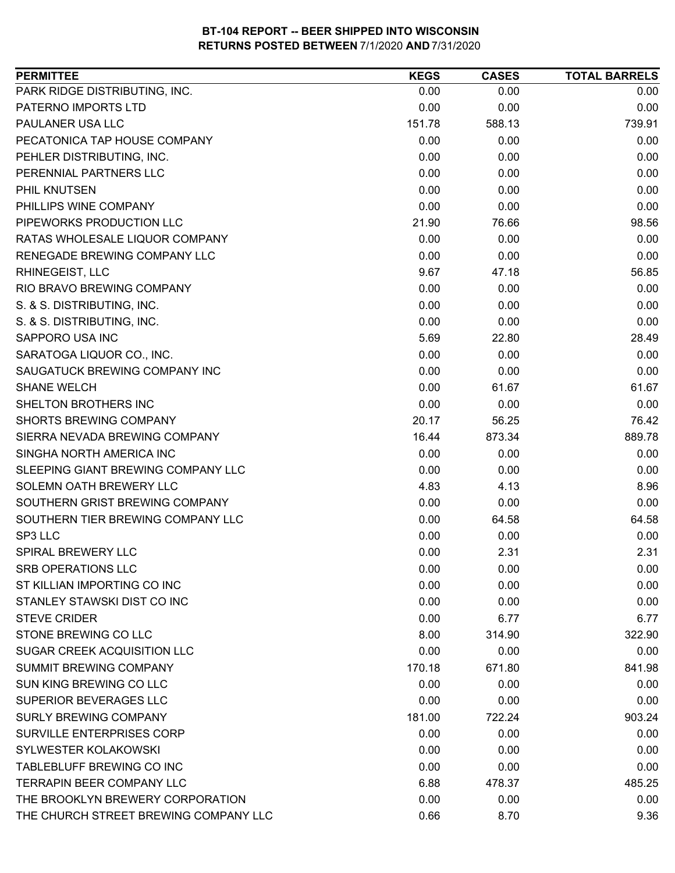| PARK RIDGE DISTRIBUTING, INC.<br>0.00<br>0.00<br>PATERNO IMPORTS LTD<br>0.00<br>0.00<br>PAULANER USA LLC<br>151.78<br>588.13<br>0.00<br>PECATONICA TAP HOUSE COMPANY<br>0.00<br>PEHLER DISTRIBUTING, INC.<br>0.00<br>0.00<br>PERENNIAL PARTNERS LLC<br>0.00<br>0.00<br>PHIL KNUTSEN<br>0.00<br>0.00<br>0.00<br>0.00<br>PHILLIPS WINE COMPANY<br>PIPEWORKS PRODUCTION LLC<br>21.90<br>76.66<br>RATAS WHOLESALE LIQUOR COMPANY<br>0.00<br>0.00<br>RENEGADE BREWING COMPANY LLC<br>0.00<br>0.00<br>RHINEGEIST, LLC<br>9.67<br>47.18<br>0.00<br>0.00<br>RIO BRAVO BREWING COMPANY<br>S. & S. DISTRIBUTING, INC.<br>0.00<br>0.00<br>S. & S. DISTRIBUTING, INC.<br>0.00<br>0.00<br>SAPPORO USA INC<br>5.69<br>22.80<br>0.00<br>SARATOGA LIQUOR CO., INC.<br>0.00 | <b>PERMITTEE</b>              | <b>KEGS</b> | <b>CASES</b> | <b>TOTAL BARRELS</b> |
|------------------------------------------------------------------------------------------------------------------------------------------------------------------------------------------------------------------------------------------------------------------------------------------------------------------------------------------------------------------------------------------------------------------------------------------------------------------------------------------------------------------------------------------------------------------------------------------------------------------------------------------------------------------------------------------------------------------------------------------------------------|-------------------------------|-------------|--------------|----------------------|
|                                                                                                                                                                                                                                                                                                                                                                                                                                                                                                                                                                                                                                                                                                                                                            |                               |             |              | 0.00                 |
|                                                                                                                                                                                                                                                                                                                                                                                                                                                                                                                                                                                                                                                                                                                                                            |                               |             |              | 0.00                 |
|                                                                                                                                                                                                                                                                                                                                                                                                                                                                                                                                                                                                                                                                                                                                                            |                               |             |              | 739.91               |
|                                                                                                                                                                                                                                                                                                                                                                                                                                                                                                                                                                                                                                                                                                                                                            |                               |             |              | 0.00                 |
|                                                                                                                                                                                                                                                                                                                                                                                                                                                                                                                                                                                                                                                                                                                                                            |                               |             |              | 0.00                 |
|                                                                                                                                                                                                                                                                                                                                                                                                                                                                                                                                                                                                                                                                                                                                                            |                               |             |              | 0.00                 |
|                                                                                                                                                                                                                                                                                                                                                                                                                                                                                                                                                                                                                                                                                                                                                            |                               |             |              | 0.00                 |
|                                                                                                                                                                                                                                                                                                                                                                                                                                                                                                                                                                                                                                                                                                                                                            |                               |             |              | 0.00                 |
|                                                                                                                                                                                                                                                                                                                                                                                                                                                                                                                                                                                                                                                                                                                                                            |                               |             |              | 98.56                |
|                                                                                                                                                                                                                                                                                                                                                                                                                                                                                                                                                                                                                                                                                                                                                            |                               |             |              | 0.00                 |
|                                                                                                                                                                                                                                                                                                                                                                                                                                                                                                                                                                                                                                                                                                                                                            |                               |             |              | 0.00                 |
|                                                                                                                                                                                                                                                                                                                                                                                                                                                                                                                                                                                                                                                                                                                                                            |                               |             |              | 56.85                |
|                                                                                                                                                                                                                                                                                                                                                                                                                                                                                                                                                                                                                                                                                                                                                            |                               |             |              | 0.00                 |
|                                                                                                                                                                                                                                                                                                                                                                                                                                                                                                                                                                                                                                                                                                                                                            |                               |             |              | 0.00                 |
|                                                                                                                                                                                                                                                                                                                                                                                                                                                                                                                                                                                                                                                                                                                                                            |                               |             |              | 0.00                 |
|                                                                                                                                                                                                                                                                                                                                                                                                                                                                                                                                                                                                                                                                                                                                                            |                               |             |              | 28.49                |
|                                                                                                                                                                                                                                                                                                                                                                                                                                                                                                                                                                                                                                                                                                                                                            |                               |             |              | 0.00                 |
|                                                                                                                                                                                                                                                                                                                                                                                                                                                                                                                                                                                                                                                                                                                                                            | SAUGATUCK BREWING COMPANY INC | 0.00        | 0.00         | 0.00                 |
| <b>SHANE WELCH</b><br>0.00<br>61.67                                                                                                                                                                                                                                                                                                                                                                                                                                                                                                                                                                                                                                                                                                                        |                               |             |              | 61.67                |
| 0.00<br>SHELTON BROTHERS INC<br>0.00                                                                                                                                                                                                                                                                                                                                                                                                                                                                                                                                                                                                                                                                                                                       |                               |             |              | 0.00                 |
| <b>SHORTS BREWING COMPANY</b><br>20.17<br>56.25                                                                                                                                                                                                                                                                                                                                                                                                                                                                                                                                                                                                                                                                                                            |                               |             |              | 76.42                |
| SIERRA NEVADA BREWING COMPANY<br>16.44<br>873.34                                                                                                                                                                                                                                                                                                                                                                                                                                                                                                                                                                                                                                                                                                           |                               |             |              | 889.78               |
| SINGHA NORTH AMERICA INC<br>0.00<br>0.00                                                                                                                                                                                                                                                                                                                                                                                                                                                                                                                                                                                                                                                                                                                   |                               |             |              | 0.00                 |
| SLEEPING GIANT BREWING COMPANY LLC<br>0.00<br>0.00                                                                                                                                                                                                                                                                                                                                                                                                                                                                                                                                                                                                                                                                                                         |                               |             |              | 0.00                 |
| SOLEMN OATH BREWERY LLC<br>4.83<br>4.13                                                                                                                                                                                                                                                                                                                                                                                                                                                                                                                                                                                                                                                                                                                    |                               |             |              | 8.96                 |
| SOUTHERN GRIST BREWING COMPANY<br>0.00<br>0.00                                                                                                                                                                                                                                                                                                                                                                                                                                                                                                                                                                                                                                                                                                             |                               |             |              | 0.00                 |
| SOUTHERN TIER BREWING COMPANY LLC<br>0.00<br>64.58                                                                                                                                                                                                                                                                                                                                                                                                                                                                                                                                                                                                                                                                                                         |                               |             |              | 64.58                |
| SP3 LLC<br>0.00<br>0.00                                                                                                                                                                                                                                                                                                                                                                                                                                                                                                                                                                                                                                                                                                                                    |                               |             |              | 0.00                 |
| 0.00<br>2.31<br>SPIRAL BREWERY LLC                                                                                                                                                                                                                                                                                                                                                                                                                                                                                                                                                                                                                                                                                                                         |                               |             |              | 2.31                 |
| <b>SRB OPERATIONS LLC</b><br>0.00<br>0.00                                                                                                                                                                                                                                                                                                                                                                                                                                                                                                                                                                                                                                                                                                                  |                               |             |              | 0.00                 |
| ST KILLIAN IMPORTING CO INC<br>0.00<br>0.00                                                                                                                                                                                                                                                                                                                                                                                                                                                                                                                                                                                                                                                                                                                |                               |             |              | 0.00                 |
| STANLEY STAWSKI DIST CO INC<br>0.00<br>0.00                                                                                                                                                                                                                                                                                                                                                                                                                                                                                                                                                                                                                                                                                                                |                               |             |              | 0.00                 |
| <b>STEVE CRIDER</b><br>0.00<br>6.77                                                                                                                                                                                                                                                                                                                                                                                                                                                                                                                                                                                                                                                                                                                        |                               |             |              | 6.77                 |
| STONE BREWING CO LLC<br>8.00<br>314.90                                                                                                                                                                                                                                                                                                                                                                                                                                                                                                                                                                                                                                                                                                                     |                               |             |              | 322.90               |
| 0.00<br>SUGAR CREEK ACQUISITION LLC<br>0.00                                                                                                                                                                                                                                                                                                                                                                                                                                                                                                                                                                                                                                                                                                                |                               |             |              | 0.00                 |
| <b>SUMMIT BREWING COMPANY</b><br>170.18<br>671.80                                                                                                                                                                                                                                                                                                                                                                                                                                                                                                                                                                                                                                                                                                          |                               |             |              | 841.98               |
| SUN KING BREWING CO LLC<br>0.00<br>0.00                                                                                                                                                                                                                                                                                                                                                                                                                                                                                                                                                                                                                                                                                                                    |                               |             |              | 0.00                 |
| SUPERIOR BEVERAGES LLC<br>0.00<br>0.00                                                                                                                                                                                                                                                                                                                                                                                                                                                                                                                                                                                                                                                                                                                     |                               |             |              | 0.00                 |
| <b>SURLY BREWING COMPANY</b><br>181.00<br>722.24                                                                                                                                                                                                                                                                                                                                                                                                                                                                                                                                                                                                                                                                                                           |                               |             |              | 903.24               |
| <b>SURVILLE ENTERPRISES CORP</b><br>0.00<br>0.00                                                                                                                                                                                                                                                                                                                                                                                                                                                                                                                                                                                                                                                                                                           |                               |             |              | 0.00                 |
| SYLWESTER KOLAKOWSKI<br>0.00<br>0.00                                                                                                                                                                                                                                                                                                                                                                                                                                                                                                                                                                                                                                                                                                                       |                               |             |              | 0.00                 |
| <b>TABLEBLUFF BREWING CO INC</b><br>0.00<br>0.00                                                                                                                                                                                                                                                                                                                                                                                                                                                                                                                                                                                                                                                                                                           |                               |             |              | 0.00                 |
| TERRAPIN BEER COMPANY LLC<br>6.88<br>478.37                                                                                                                                                                                                                                                                                                                                                                                                                                                                                                                                                                                                                                                                                                                |                               |             |              | 485.25               |
| THE BROOKLYN BREWERY CORPORATION<br>0.00<br>0.00                                                                                                                                                                                                                                                                                                                                                                                                                                                                                                                                                                                                                                                                                                           |                               |             |              | 0.00                 |
| THE CHURCH STREET BREWING COMPANY LLC<br>0.66<br>8.70                                                                                                                                                                                                                                                                                                                                                                                                                                                                                                                                                                                                                                                                                                      |                               |             |              | 9.36                 |